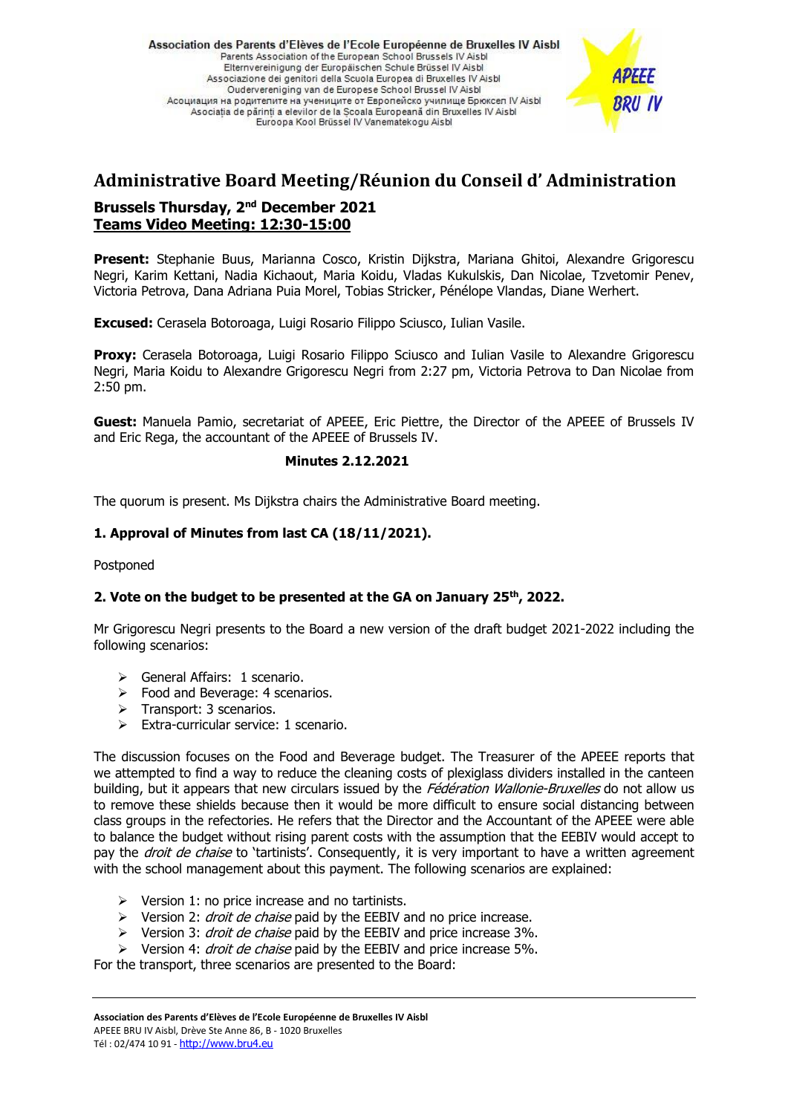Association des Parents d'Elèves de l'Ecole Européenne de Bruxelles IV Aisbl Parents Association of the European School Brussels IV Aisbi Elternvereinigung der Europäischen Schule Brüssel IV Aisbl Associazione dei genitori della Scuola Europea di Bruxelles IV Aisbl Oudervereniging van de Europese School Brussel IV Aisbl Асоциация на родителите на учениците от Европейско училище Брюксел IV Aisbl Asociatia de părinti a elevilor de la Scoala Europeană din Bruxelles IV Aisbl Euroopa Kool Brüssel IV Vanematekogu Aisbl



# **Administrative Board Meeting/Réunion du Conseil d' Administration Brussels Thursday, 2<sup>nd</sup> December 2021 Teams Video Meeting: 12:30-15:00**

**Present:** Stephanie Buus, Marianna Cosco, Kristin Dijkstra, Mariana Ghitoi, Alexandre Grigorescu Negri, Karim Kettani, Nadia Kichaout, Maria Koidu, Vladas Kukulskis, Dan Nicolae, Tzvetomir Penev, Victoria Petrova, Dana Adriana Puia Morel, Tobias Stricker, Pénélope Vlandas, Diane Werhert.

**Excused:** Cerasela Botoroaga, Luigi Rosario Filippo Sciusco, Iulian Vasile.

**Proxy:** Cerasela Botoroaga, Luigi Rosario Filippo Sciusco and Iulian Vasile to Alexandre Grigorescu Negri, Maria Koidu to Alexandre Grigorescu Negri from 2:27 pm, Victoria Petrova to Dan Nicolae from 2:50 pm.

**Guest:** Manuela Pamio, secretariat of APEEE, Eric Piettre, the Director of the APEEE of Brussels IV and Eric Rega, the accountant of the APEEE of Brussels IV.

## **Minutes 2.12.2021**

The quorum is present. Ms Dijkstra chairs the Administrative Board meeting.

## **1. Approval of Minutes from last CA (18/11/2021).**

Postponed

### **2. Vote on the budget to be presented at the GA on January 25th , 2022.**

Mr Grigorescu Negri presents to the Board a new version of the draft budget 2021-2022 including the following scenarios:

- ➢ General Affairs: 1 scenario.
- $\triangleright$  Food and Beverage: 4 scenarios.
- ➢ Transport: 3 scenarios.
- ➢ Extra-curricular service: 1 scenario.

The discussion focuses on the Food and Beverage budget. The Treasurer of the APEEE reports that we attempted to find a way to reduce the cleaning costs of plexiglass dividers installed in the canteen building, but it appears that new circulars issued by the Fédération Wallonie-Bruxelles do not allow us to remove these shields because then it would be more difficult to ensure social distancing between class groups in the refectories. He refers that the Director and the Accountant of the APEEE were able to balance the budget without rising parent costs with the assumption that the EEBIV would accept to pay the *droit de chaise* to 'tartinists'. Consequently, it is very important to have a written agreement with the school management about this payment. The following scenarios are explained:

- $\triangleright$  Version 1: no price increase and no tartinists.
- $\triangleright$  Version 2: *droit de chaise* paid by the EEBIV and no price increase.
- ➢ Version 3: droit de chaise paid by the EEBIV and price increase 3%.
- $\triangleright$  Version 4: *droit de chaise* paid by the EEBIV and price increase 5%.

For the transport, three scenarios are presented to the Board: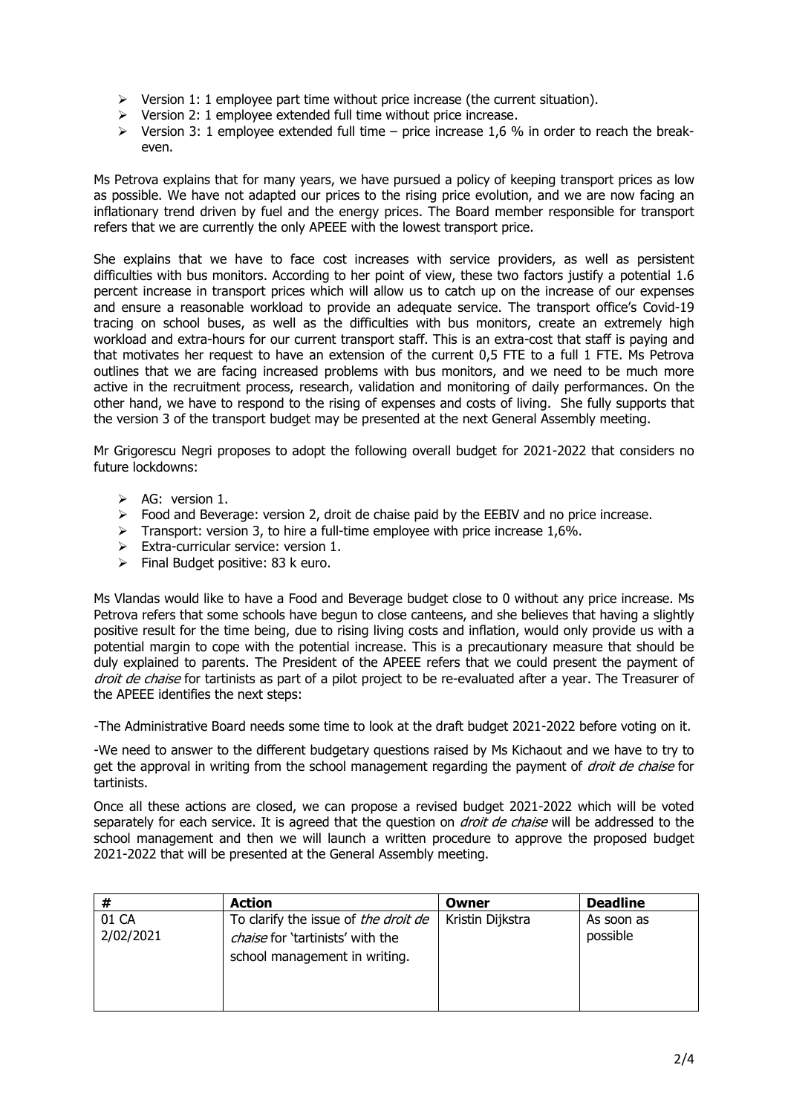- $\triangleright$  Version 1: 1 employee part time without price increase (the current situation).
- $\triangleright$  Version 2: 1 employee extended full time without price increase.
- $\triangleright$  Version 3: 1 employee extended full time price increase 1.6 % in order to reach the breakeven.

Ms Petrova explains that for many years, we have pursued a policy of keeping transport prices as low as possible. We have not adapted our prices to the rising price evolution, and we are now facing an inflationary trend driven by fuel and the energy prices. The Board member responsible for transport refers that we are currently the only APEEE with the lowest transport price.

She explains that we have to face cost increases with service providers, as well as persistent difficulties with bus monitors. According to her point of view, these two factors justify a potential 1.6 percent increase in transport prices which will allow us to catch up on the increase of our expenses and ensure a reasonable workload to provide an adequate service. The transport office's Covid-19 tracing on school buses, as well as the difficulties with bus monitors, create an extremely high workload and extra-hours for our current transport staff. This is an extra-cost that staff is paying and that motivates her request to have an extension of the current 0,5 FTE to a full 1 FTE. Ms Petrova outlines that we are facing increased problems with bus monitors, and we need to be much more active in the recruitment process, research, validation and monitoring of daily performances. On the other hand, we have to respond to the rising of expenses and costs of living. She fully supports that the version 3 of the transport budget may be presented at the next General Assembly meeting.

Mr Grigorescu Negri proposes to adopt the following overall budget for 2021-2022 that considers no future lockdowns:

- ➢ AG: version 1.
- $\triangleright$  Food and Beverage: version 2, droit de chaise paid by the EEBIV and no price increase.
- $\triangleright$  Transport: version 3, to hire a full-time employee with price increase 1,6%.
- $\triangleright$  Extra-curricular service: version 1.
- ➢ Final Budget positive: 83 k euro.

Ms Vlandas would like to have a Food and Beverage budget close to 0 without any price increase. Ms Petrova refers that some schools have begun to close canteens, and she believes that having a slightly positive result for the time being, due to rising living costs and inflation, would only provide us with a potential margin to cope with the potential increase. This is a precautionary measure that should be duly explained to parents. The President of the APEEE refers that we could present the payment of droit de chaise for tartinists as part of a pilot project to be re-evaluated after a year. The Treasurer of the APEEE identifies the next steps:

-The Administrative Board needs some time to look at the draft budget 2021-2022 before voting on it.

-We need to answer to the different budgetary questions raised by Ms Kichaout and we have to try to get the approval in writing from the school management regarding the payment of *droit de chaise* for tartinists.

Once all these actions are closed, we can propose a revised budget 2021-2022 which will be voted separately for each service. It is agreed that the question on *droit de chaise* will be addressed to the school management and then we will launch a written procedure to approve the proposed budget 2021-2022 that will be presented at the General Assembly meeting.

| #                  | <b>Action</b>                                                                                             | Owner            | <b>Deadline</b>        |
|--------------------|-----------------------------------------------------------------------------------------------------------|------------------|------------------------|
| 01 CA<br>2/02/2021 | To clarify the issue of the droit de<br>chaise for 'tartinists' with the<br>school management in writing. | Kristin Dijkstra | As soon as<br>possible |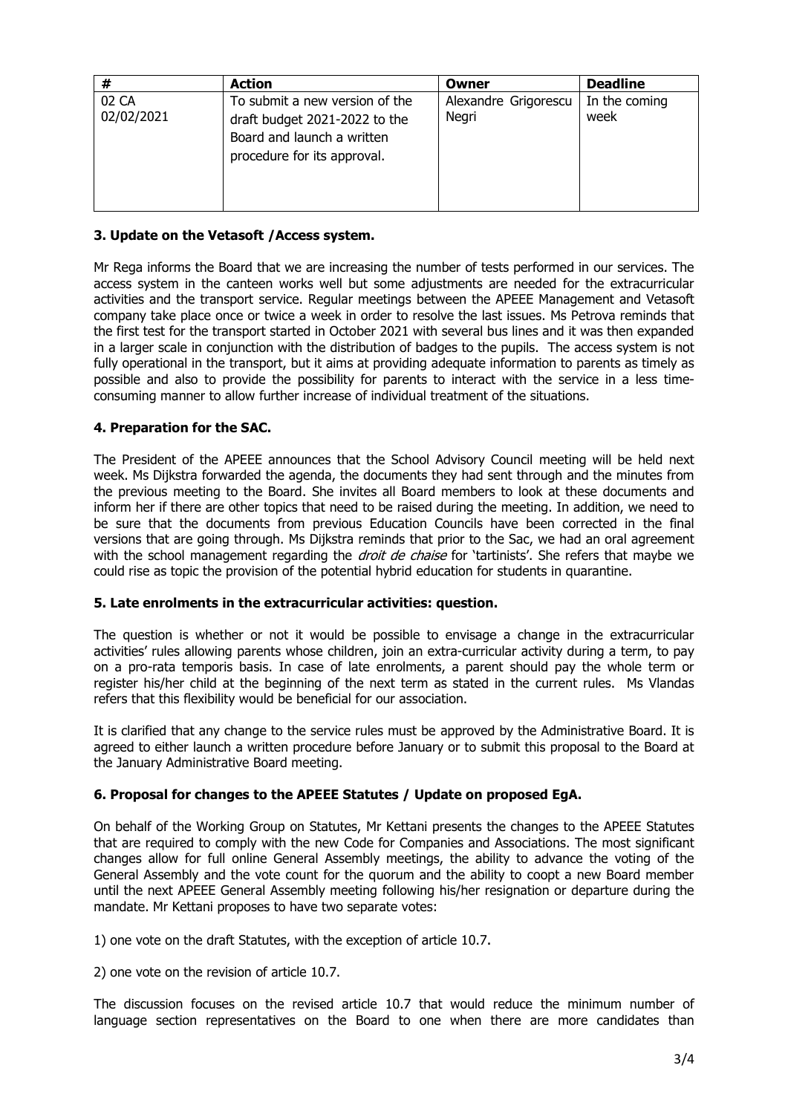| #                   | <b>Action</b>                                                                                                                | Owner                         | <b>Deadline</b>       |
|---------------------|------------------------------------------------------------------------------------------------------------------------------|-------------------------------|-----------------------|
| 02 CA<br>02/02/2021 | To submit a new version of the<br>draft budget 2021-2022 to the<br>Board and launch a written<br>procedure for its approval. | Alexandre Grigorescu<br>Negri | In the coming<br>week |

# **3. Update on the Vetasoft /Access system.**

Mr Rega informs the Board that we are increasing the number of tests performed in our services. The access system in the canteen works well but some adjustments are needed for the extracurricular activities and the transport service. Regular meetings between the APEEE Management and Vetasoft company take place once or twice a week in order to resolve the last issues. Ms Petrova reminds that the first test for the transport started in October 2021 with several bus lines and it was then expanded in a larger scale in conjunction with the distribution of badges to the pupils. The access system is not fully operational in the transport, but it aims at providing adequate information to parents as timely as possible and also to provide the possibility for parents to interact with the service in a less timeconsuming manner to allow further increase of individual treatment of the situations.

## **4. Preparation for the SAC.**

The President of the APEEE announces that the School Advisory Council meeting will be held next week. Ms Dijkstra forwarded the agenda, the documents they had sent through and the minutes from the previous meeting to the Board. She invites all Board members to look at these documents and inform her if there are other topics that need to be raised during the meeting. In addition, we need to be sure that the documents from previous Education Councils have been corrected in the final versions that are going through. Ms Dijkstra reminds that prior to the Sac, we had an oral agreement with the school management regarding the droit de chaise for 'tartinists'. She refers that maybe we could rise as topic the provision of the potential hybrid education for students in quarantine.

### **5. Late enrolments in the extracurricular activities: question.**

The question is whether or not it would be possible to envisage a change in the extracurricular activities' rules allowing parents whose children, join an extra-curricular activity during a term, to pay on a pro-rata temporis basis. In case of late enrolments, a parent should pay the whole term or register his/her child at the beginning of the next term as stated in the current rules. Ms Vlandas refers that this flexibility would be beneficial for our association.

It is clarified that any change to the service rules must be approved by the Administrative Board. It is agreed to either launch a written procedure before January or to submit this proposal to the Board at the January Administrative Board meeting.

### **6. Proposal for changes to the APEEE Statutes / Update on proposed EgA.**

On behalf of the Working Group on Statutes, Mr Kettani presents the changes to the APEEE Statutes that are required to comply with the new Code for Companies and Associations. The most significant changes allow for full online General Assembly meetings, the ability to advance the voting of the General Assembly and the vote count for the quorum and the ability to coopt a new Board member until the next APEEE General Assembly meeting following his/her resignation or departure during the mandate. Mr Kettani proposes to have two separate votes:

1) one vote on the draft Statutes, with the exception of article 10.7.

2) one vote on the revision of article 10.7.

The discussion focuses on the revised article 10.7 that would reduce the minimum number of language section representatives on the Board to one when there are more candidates than